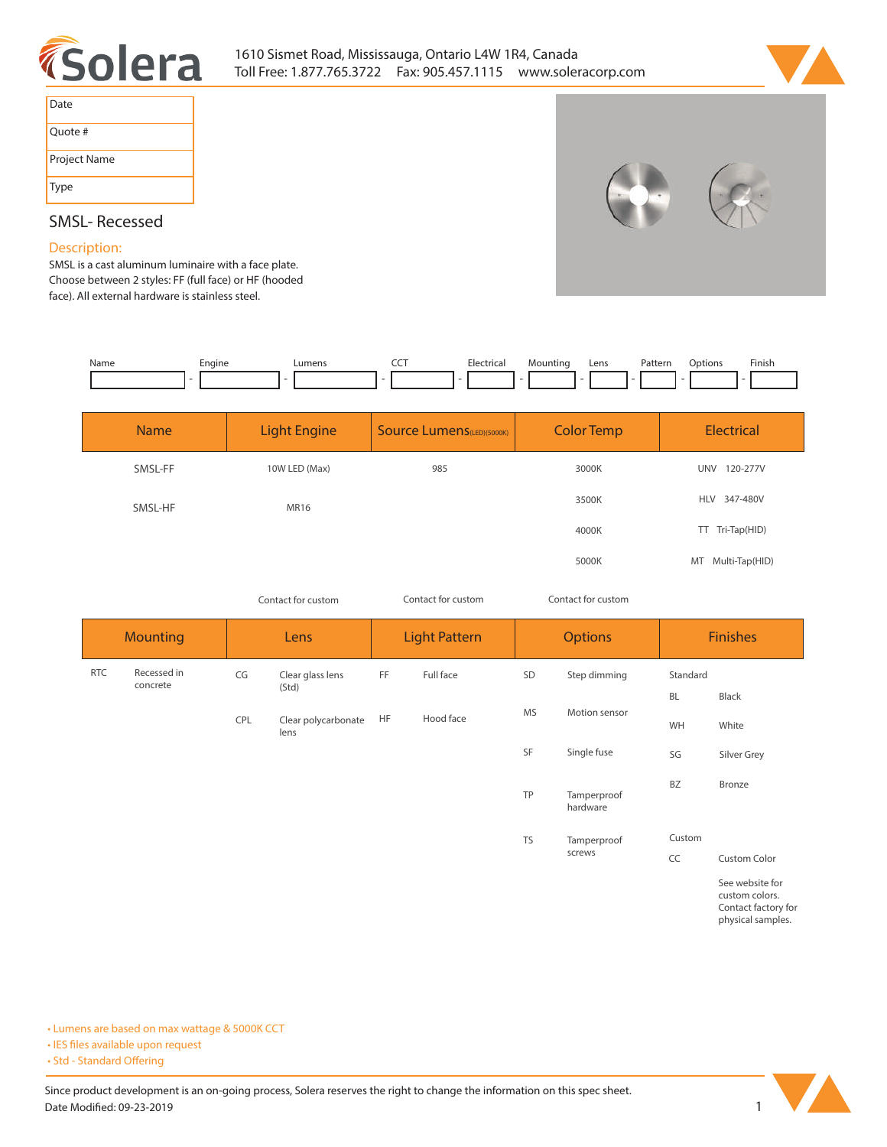



| Date         |
|--------------|
| Quote #      |
| Project Name |
| Type         |

# **SMSL- Recessed**

### **Description:**

**SMSL is a cast aluminum luminaire with a face plate. Choose between 2 styles: FF (full face) or HF (hooded face). All external hardware is stainless steel.** 

| Name | Engine | umens_ | --- | <b>Electric</b><br>$\sim$ $\sim$<br>. | Mountino | Lens | Pattern<br>. | Dotions | Finish |
|------|--------|--------|-----|---------------------------------------|----------|------|--------------|---------|--------|
|      |        |        |     |                                       |          |      |              |         |        |

| <b>Name</b> | <b>Light Engine</b> | <b>Source Lumens</b> (LED)(5000K) | <b>Color Temp</b> | <b>Electrical</b>    |  |
|-------------|---------------------|-----------------------------------|-------------------|----------------------|--|
| SMSL-FF     | 10W LED (Max)       | 985                               | 3000K             | 120-277V<br>UNV      |  |
| SMSL-HF     | MR16                |                                   | 3500K             | HLV 347-480V         |  |
|             |                     |                                   | 4000K             | TT Tri-Tap(HID)      |  |
|             |                     |                                   | 5000K             | Multi-Tap(HID)<br>MT |  |

*Contact for custom Contact for custom*

*Contact for custom*

| <b>Mounting</b> |                         | Lens |                             | <b>Light Pattern</b> |           | <b>Options</b> |                         | <b>Finishes</b>       |                                                                               |
|-----------------|-------------------------|------|-----------------------------|----------------------|-----------|----------------|-------------------------|-----------------------|-------------------------------------------------------------------------------|
| <b>RTC</b>      | Recessed in<br>concrete | CG   | Clear glass lens<br>(Std)   | FF                   | Full face | SD             | Step dimming            | Standard<br><b>BL</b> | Black                                                                         |
|                 |                         | CPL  | Clear polycarbonate<br>lens | <b>HF</b>            | Hood face | <b>MS</b>      | Motion sensor           | WH                    | White                                                                         |
|                 |                         |      |                             |                      |           | SF             | Single fuse             | SG                    | Silver Grey                                                                   |
|                 |                         |      |                             |                      |           | <b>TP</b>      | Tamperproof<br>hardware | <b>BZ</b>             | Bronze                                                                        |
|                 |                         |      |                             |                      |           | <b>TS</b>      | Tamperproof             | Custom                |                                                                               |
|                 |                         |      |                             |                      |           |                | screws                  | CC                    | <b>Custom Color</b>                                                           |
|                 |                         |      |                             |                      |           |                |                         |                       | See website for<br>custom colors.<br>Contact factory for<br>physical samples. |

**• Lumens are based on max wattage & 5000K CCT**

**• IES files available upon request** 

• Std - Standard Offering

Since product development is an on-going process, Solera reserves the right to change the information on this spec sheet. **Date Modified: 09-23-2019** 1